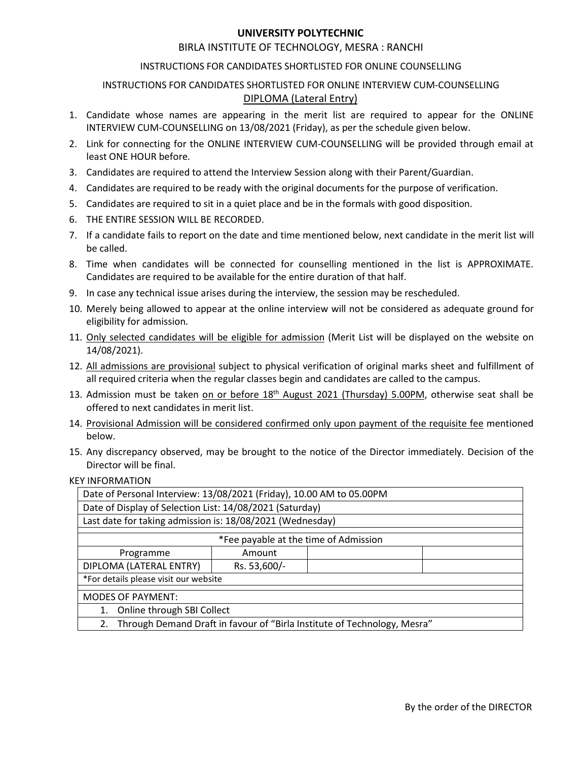## **UNIVERSITY POLYTECHNIC**<br>UTE OF TECHNOLOGY, MESRA : RANCHI<br>NDIDATES SHORTLISTED FOR ONLINE COUNSELLING<br>IS SHORTLISTED FOR ONLINE INTERVIEW CUM-COUNSELLING<br><u>DIPLOMA (Lateral Entry)</u> UNIVERSITY POLYTECHNIC<br>BIRLA INSTITUTE OF TECHNOLOGY, MESRA : RANCHI<br>TIONS FOR CANDIDATES SHORTLISTED FOR ONLINE INTERVIEW CUM-COUNSELLING<br>DIPLOMA (Lateral Entry)<br>Imes are appearing in the merit list are required to appear

- **UNIVERSITY POLYTECHNIC**<br>BIRLA INSTITUTE OF TECHNOLOGY, MESRA : RANCHI<br>INSTRUCTIONS FOR CANDIDATES SHORTLISTED FOR ONLINE COUNSELLING<br>TIONS FOR CANDIDATES SHORTLISTED FOR ONLINE INTERVIEW CUM-COUNSELLING<br>proper annes are a UNIVERSITY POLYTECHNIC<br>
BIRLA INSTITUTE OF TECHNOLOGY, MESRA : RANCHI<br>
INSTRUCTIONS FOR CANDIDATES SHORTLISTED FOR ONLINE INTERVIEW CUM-COUNSELLING<br>
<u>DIPLOMA (Lateral Entry)</u><br>
didate whose names are appearing in the merit **INIVERSITY POLYTECHNIC**<br>THE OF TECHNOLOGY, MESRA : RANCHI<br>IDIDATES SHORTLISTED FOR ONLINE COUNSELLING<br>SHORTLISTED FOR ONLINE INTERVIEW CUM-COUNSELLING<br>DIPLOMA (Lateral Entry)<br>aring in the merit list are required to appear **1.** Candidate whose names are appearing in the merit list are required to appear for the ONLINE<br>
1. Candidate whose names are appearing in the merit list are required to appear for the ONLINE<br>
1. Candidate whose names are UNIVERSITY POLYTECHNIC<br>
INSTRUCTIONS FOR CANDIDATES SHORTLISTED FOR ONLINE COUNSELLING<br>
INSTRUCTIONS FOR CANDIDATES SHORTLISTED FOR ONLINE INTERVIEW CUM-COUNSELLING<br>
Candidate whose names are appearing in the merit list ar EXERCT MOVER CONNECT TO THE UNIVERSITY POLATIONS (STANCT THE UNIVERSITY POLATIONS FOR CANDIDATES SHORTLISTED FOR ONLINE INTERVIEW CUM-COUNSELLING<br>
INSTRUCTIONS FOR CANDIDATES SHORTLISTED FOR ONLINE INTERVIEW CUM-COUNSELLIN UNIVERSITY POLYTECHNIC<br>
BIRLA INSTITUTE OF TECHNOLOGY, MESRA : RANCHI<br>
INSTRUCTIONS FOR CANDIDATES SHORTLISTED FOR ONLINE COUNSELLING<br>
INSTRUCTIONS FOR CANDIDATES SHORTLISTED FOR ONLINE INTERVIEW CUM-COUNSE<br>
<u>DIPLOMA (Late</u> 3. Candidate sare required to sti in a quiet place and bein the formals with good disposition.<br>3. Candidate whose names are appearing in the metric list are required to appear for the ONLINE<br>3. Candidate whose names are ap UNIVERSITY POLYTECHNIC<br>
INSTRUCTIONS FOR CANDIDATES SHORTLISTED FOR ONLINE COUNSELLING<br>
INSTRUCTIONS FOR CANDIDATES SHORTLISTED FOR ONLINE INTERVIEW CUM-COUNSELLING<br>
1. Candidate whose names are appearing in the merit list **EXECTS ARE SET ARE SET ARE INTERNATE CONDUPNATES SHORTILISTED FOR ONLINE COUNSELLING**<br>
INSTRUCTIONS FOR CANDIDATES SHORTLISTED FOR ONLINE INTERVIEW CUM-COUNSELLING<br>
1. Candidate whose names are appearing in the merit list **EXERCTS AND MUNIFIEST SCENDING THE ENTIRE OF TECHNOLOGY, MESRA: RANCHI<br>
INSTRUCTIONS FOR CANDIDATES SHORTLISTED FOR ONLINE COUNSELLING<br>
INSTRUCTIONS FOR CANDIDATES SHORTLISTED FOR ONLINE INTERVIEW CUM-COUNSELLING<br>
1. Cand EXECTS TO PUTTE CHING CONTROVIDED INTERVIOR CONTROVIDED**<br>
INSTRUCTIONS FOR CANDIDATES SHORTLISTED FOR ONLINE COUNSELLING<br>
INSTRUCTIONS FOR CANDIDATES SHORTLISTED FOR ONLINE COUNSELLING<br>
1. Candidate whose names are appear UNIVERSITY POLYTECHNIC<br>
BIRLA INSTITUTE OF TECHNOLOGY, MESRA : RANC<br>
INSTRUCTIONS FOR CANDIDATES SHORTLISTED FOR ONLINE CO<br>
INSTRUCTIONS FOR CANDIDATES SHORTLISTED FOR ONLINE INTERVIEW<br>
Candidate whose names are appearing BIRLA INSTITUTE OF TECHNOLOGY, MESRA : RANCHI<br>
INSTRUCTIONS FOR CANDIDATES SHORTLISTED FOR ONLINE COUNSELLING<br>
INSTRUCTIONS FOR CANDIDATES SHORTLISTED FOR ONLINE INTERVIEW CUM-COUNSELLING<br>
INTERVIEW CUM-COUNSELLING ON 13/0 BIRLA INSTITUTE OF TECHNOLOGY, MESRA : RANCHI<br>INSTRUCTIONS FOR CANDIDATES SHORTLISTED FOR ONLINE COUNSELLING<br>INSTRUCTIONS FOR CANDIDATES SHORTLISTED FOR ONLINE INTERVIEW CUM-COUNSELLING<br>Candidate whose names are appearing INSTRUCTIONS FOR CANDIDATES SHORTLISTED FOR ONLINE COUNSELLING<br>
1. Candidate whose names are appearing in the ment list are required to appear for the ONLINE<br>
1. Candidate whose names are appearing in the ment list are req INSTRUCTIONS FOR CANDIDATES SHORTISTED FOR ONLINE MERVIEW CUM-COUNSELLING<br>
1. Candidate whose names are appearing in the merit list are required to appear for the ONLINE<br>
INTERVIEW CUM-COUNSELLING on 13/08/2021 (Friday), a INSTRUCTIONS FOR CANDIDATES SHORTLISTED FOR ONLINE INTERVIEW CUM-COU<br>
DIPLOMA (Lateral Entry)<br>
Candidate whose names are appearing in the merit list are required to appear<br>
INTERVIEW CUM-COUNSELLING on 13/08/2021 (Friday), 1. Candidate whose names are appearing in the merit list are required to appear for the ONLINE<br>
INTERVIEW CUM-COUNSELLING on 13/08/2021 (Friday), as per the schedule given below.<br>
2. Link for connecting for the ONLINE INTE
- 
- 
- 
- 
- 
- 
- 
- 
- 
- 14/08/2021).
- INTERVIEW CUM-COUNSELLING on 13/08/2021 (Friday), as per the schedule given below.<br>
2. Link for connecting for the ONLINE INTERVIEW CUM-COUNSELLING will be provided through email at<br>
4. Candidates are required to attend th Link for connecting for the ONLINE INTERVIEW CUM-COUNSELLING will be provided through email at least ONE HOUR before.<br>
Candidates are required to attend the Interview Session along with their Parent/Guardian.<br>
Candidates a ieast ONE HOUR before.<br>
4. Candidates are required to attend the Interview Session along with their Parent/Guardian.<br>
4. Candidates are required to be ready with the original documents for the purpose of verification.<br>
5. Candidates are required to attend the Interview Session along with their Parent/Guardian.<br>Candidates are required to be ready with the original documents for the purpose of verification.<br>Candidates are required to sit in a 4. Candidates are required to be ready with the original documents for the purpose of verification.<br>
5. Candidates are required to sti in a quich place and be in the formals with good disposition.<br>
6. THE ENTIRE SESION WIL
- 
- below.
- 

| 7. If a candidate fails to report on the date and time mentioned below, next candidate in the merit list will<br>be called.<br>Candidates are required to be available for the entire duration of that half.<br>eligibility for admission.<br>14/08/2021).<br>all required criteria when the regular classes begin and candidates are called to the campus.<br>offered to next candidates in merit list.<br>below.<br>Director will be final.<br>Date of Personal Interview: 13/08/2021 (Friday), 10.00 AM to 05.00PM<br>Date of Display of Selection List: 14/08/2021 (Saturday)<br>Last date for taking admission is: 18/08/2021 (Wednesday)<br>*Fee payable at the time of Admission<br>Programme<br>Amount<br>DIPLOMA (LATERAL ENTRY)<br>Rs. 53,600/-<br>*For details please visit our website<br><b>MODES OF PAYMENT:</b><br>1. Online through SBI Collect<br>2. Through Demand Draft in favour of "Birla Institute of Technology, Mesra"<br>By the order of the DIRECTOR | 6. THE ENTIRE SESSION WILL BE RECORDED. |  |  |
|--------------------------------------------------------------------------------------------------------------------------------------------------------------------------------------------------------------------------------------------------------------------------------------------------------------------------------------------------------------------------------------------------------------------------------------------------------------------------------------------------------------------------------------------------------------------------------------------------------------------------------------------------------------------------------------------------------------------------------------------------------------------------------------------------------------------------------------------------------------------------------------------------------------------------------------------------------------------------------|-----------------------------------------|--|--|
| 8. Time when candidates will be connected for counselling mentioned in the list is APPROXIMATE.<br>9. In case any technical issue arises during the interview, the session may be rescheduled.<br>10. Merely being allowed to appear at the online interview will not be considered as adequate ground for<br>11. Only selected candidates will be eligible for admission (Merit List will be displayed on the website on<br>12. All admissions are provisional subject to physical verification of original marks sheet and fulfillment of<br>13. Admission must be taken on or before 18 <sup>th</sup> August 2021 (Thursday) 5.00PM, otherwise seat shall be<br>14. Provisional Admission will be considered confirmed only upon payment of the requisite fee mentioned<br>15. Any discrepancy observed, may be brought to the notice of the Director immediately. Decision of the<br><b>KEY INFORMATION</b>                                                                |                                         |  |  |
|                                                                                                                                                                                                                                                                                                                                                                                                                                                                                                                                                                                                                                                                                                                                                                                                                                                                                                                                                                                |                                         |  |  |
|                                                                                                                                                                                                                                                                                                                                                                                                                                                                                                                                                                                                                                                                                                                                                                                                                                                                                                                                                                                |                                         |  |  |
|                                                                                                                                                                                                                                                                                                                                                                                                                                                                                                                                                                                                                                                                                                                                                                                                                                                                                                                                                                                |                                         |  |  |
|                                                                                                                                                                                                                                                                                                                                                                                                                                                                                                                                                                                                                                                                                                                                                                                                                                                                                                                                                                                |                                         |  |  |
|                                                                                                                                                                                                                                                                                                                                                                                                                                                                                                                                                                                                                                                                                                                                                                                                                                                                                                                                                                                |                                         |  |  |
|                                                                                                                                                                                                                                                                                                                                                                                                                                                                                                                                                                                                                                                                                                                                                                                                                                                                                                                                                                                |                                         |  |  |
|                                                                                                                                                                                                                                                                                                                                                                                                                                                                                                                                                                                                                                                                                                                                                                                                                                                                                                                                                                                |                                         |  |  |
|                                                                                                                                                                                                                                                                                                                                                                                                                                                                                                                                                                                                                                                                                                                                                                                                                                                                                                                                                                                |                                         |  |  |
|                                                                                                                                                                                                                                                                                                                                                                                                                                                                                                                                                                                                                                                                                                                                                                                                                                                                                                                                                                                |                                         |  |  |
|                                                                                                                                                                                                                                                                                                                                                                                                                                                                                                                                                                                                                                                                                                                                                                                                                                                                                                                                                                                |                                         |  |  |
|                                                                                                                                                                                                                                                                                                                                                                                                                                                                                                                                                                                                                                                                                                                                                                                                                                                                                                                                                                                |                                         |  |  |
|                                                                                                                                                                                                                                                                                                                                                                                                                                                                                                                                                                                                                                                                                                                                                                                                                                                                                                                                                                                |                                         |  |  |
|                                                                                                                                                                                                                                                                                                                                                                                                                                                                                                                                                                                                                                                                                                                                                                                                                                                                                                                                                                                |                                         |  |  |
|                                                                                                                                                                                                                                                                                                                                                                                                                                                                                                                                                                                                                                                                                                                                                                                                                                                                                                                                                                                |                                         |  |  |
|                                                                                                                                                                                                                                                                                                                                                                                                                                                                                                                                                                                                                                                                                                                                                                                                                                                                                                                                                                                |                                         |  |  |
|                                                                                                                                                                                                                                                                                                                                                                                                                                                                                                                                                                                                                                                                                                                                                                                                                                                                                                                                                                                |                                         |  |  |
|                                                                                                                                                                                                                                                                                                                                                                                                                                                                                                                                                                                                                                                                                                                                                                                                                                                                                                                                                                                |                                         |  |  |
|                                                                                                                                                                                                                                                                                                                                                                                                                                                                                                                                                                                                                                                                                                                                                                                                                                                                                                                                                                                |                                         |  |  |
|                                                                                                                                                                                                                                                                                                                                                                                                                                                                                                                                                                                                                                                                                                                                                                                                                                                                                                                                                                                |                                         |  |  |
|                                                                                                                                                                                                                                                                                                                                                                                                                                                                                                                                                                                                                                                                                                                                                                                                                                                                                                                                                                                |                                         |  |  |
|                                                                                                                                                                                                                                                                                                                                                                                                                                                                                                                                                                                                                                                                                                                                                                                                                                                                                                                                                                                |                                         |  |  |
|                                                                                                                                                                                                                                                                                                                                                                                                                                                                                                                                                                                                                                                                                                                                                                                                                                                                                                                                                                                |                                         |  |  |
|                                                                                                                                                                                                                                                                                                                                                                                                                                                                                                                                                                                                                                                                                                                                                                                                                                                                                                                                                                                |                                         |  |  |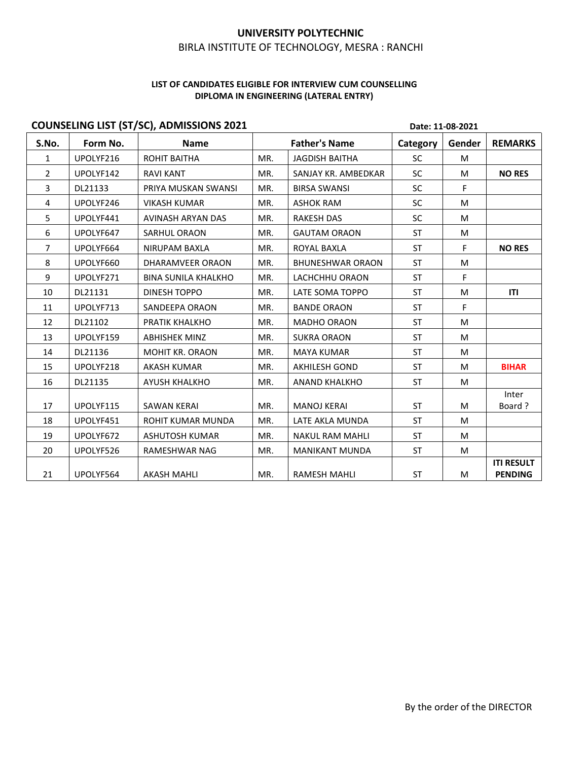## UNIVERSITY POLYTECHNIC<br>UTE OF TECHNOLOGY, MESRA : RANCHI<br>ELIGIBLE FOR INTERVIEW CUM COUNSELLING<br>N ENGINEERING (LATERAL ENTRY) UNIVERSITY POLYTECHNIC<br>BIRLA INSTITUTE OF TECHNOLOGY, MESRA : RANCHI<br>FINALISTITUTE COR INTERVIEW CUM COUNSELLING<br>DIPLOMA IN ENGINEERING (LATERAL ENTRY)

|                   |                      | <b>COUNSELING LIST (ST/SC), ADMISSIONS 2021</b> |            |                                         |                 | Date: 11-08-2021 |                                     |
|-------------------|----------------------|-------------------------------------------------|------------|-----------------------------------------|-----------------|------------------|-------------------------------------|
| S.No.             | Form No.             | Name                                            |            | <b>Father's Name</b>                    | Category        | Gender           | <b>REMARKS</b>                      |
| $\mathbf{1}$      | UPOLYF216            | ROHIT BAITHA                                    | MR.        | <b>JAGDISH BAITHA</b>                   | SC              | M                |                                     |
| $\overline{2}$    | UPOLYF142            | <b>RAVI KANT</b><br>PRIYA MUSKAN SWANSI         | MR.<br>MR. | SANJAY KR. AMBEDKAR                     | <b>SC</b><br>SC | M<br>F.          | <b>NO RES</b>                       |
| $\mathbf{3}$<br>4 | DL21133<br>UPOLYF246 | <b>VIKASH KUMAR</b>                             | MR.        | <b>BIRSA SWANSI</b><br><b>ASHOK RAM</b> | SC              | M                |                                     |
| 5                 | UPOLYF441            | AVINASH ARYAN DAS                               | MR.        | RAKESH DAS                              | <b>SC</b>       | M                |                                     |
| 6                 | UPOLYF647            | SARHUL ORAON                                    | MR.        | <b>GAUTAM ORAON</b>                     | <b>ST</b>       | M                |                                     |
| 7                 | UPOLYF664            | NIRUPAM BAXLA                                   | MR.        | ROYAL BAXLA                             | <b>ST</b>       | F.               | <b>NO RES</b>                       |
| 8                 | UPOLYF660            | DHARAMVEER ORAON                                | MR.        | <b>BHUNESHWAR ORAON</b>                 | <b>ST</b>       | M                |                                     |
| 9                 | UPOLYF271            | <b>BINA SUNILA KHALKHO</b>                      | MR.        | LACHCHHU ORAON                          | <b>ST</b>       | F                |                                     |
| 10                | DL21131              | DINESH TOPPO                                    | MR.        | LATE SOMA TOPPO                         | ST              | M                | ITI                                 |
| 11                | UPOLYF713            | SANDEEPA ORAON                                  | MR.        | <b>BANDE ORAON</b>                      | ST              | F.               |                                     |
| 12                | DL21102              | PRATIK KHALKHO                                  | MR.        | MADHO ORAON                             | ST              | M                |                                     |
| 13                | UPOLYF159            | <b>ABHISHEK MINZ</b>                            | MR.        | <b>SUKRA ORAON</b>                      | ST              | M                |                                     |
| 14                | DL21136              | MOHIT KR. ORAON                                 | MR.        | MAYA KUMAR                              | ST              | M                |                                     |
| 15                | UPOLYF218            | AKASH KUMAR                                     | MR.        | AKHILESH GOND                           | ST              | M                | <b>BIHAR</b>                        |
| 16                | DL21135              | AYUSH KHALKHO                                   | MR.        | ANAND KHALKHO                           | ST              | M                |                                     |
|                   |                      |                                                 |            |                                         |                 |                  | Inter                               |
| 17                | UPOLYF115            | <b>SAWAN KERAI</b>                              | MR.        | <b>MANOJ KERAI</b>                      | ST              | M                | Board?                              |
| 18                | UPOLYF451            | ROHIT KUMAR MUNDA                               | MR.        | LATE AKLA MUNDA                         | ST              | M                |                                     |
| 19                | UPOLYF672            | ASHUTOSH KUMAR                                  | MR.        | NAKUL RAM MAHLI                         | ST              | M                |                                     |
| 20                | UPOLYF526            | RAMESHWAR NAG                                   | MR.        | <b>MANIKANT MUNDA</b>                   | ST              | M                |                                     |
| 21                | UPOLYF564            | <b>AKASH MAHLI</b>                              | MR.        | RAMESH MAHLI                            | ST              | M                | <b>ITI RESULT</b><br><b>PENDING</b> |
|                   |                      |                                                 |            |                                         |                 |                  |                                     |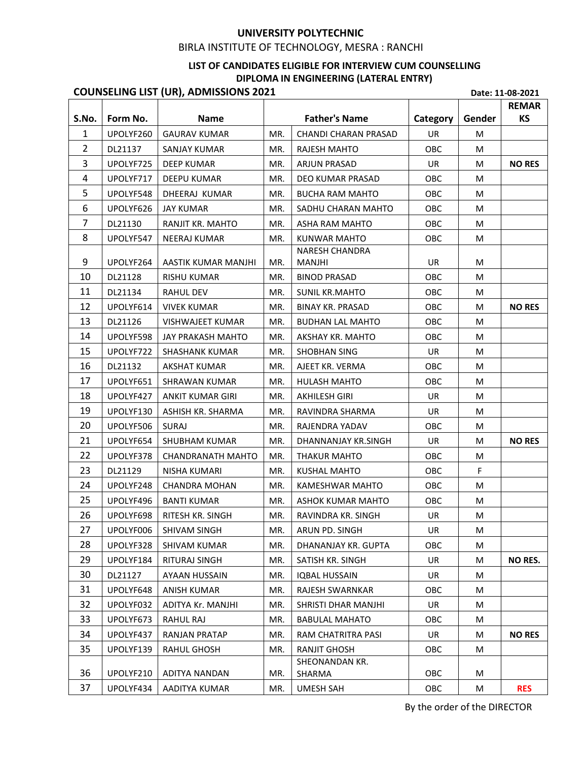# UNIVERSITY POLYTECHNIC<br>
BIRLA INSTITUTE OF TECHNOLOGY, MESRA : RANCHI<br>
LIST OF CANDIDATES ELIGIBLE FOR INTERVIEW CUM COUNSELLING<br>
DIPLOMA IN ENGINEERING (LATERAL ENTRY)<br>
), ADMISSIONS 2021<br>
Pate: 11-08-2021<br>
Name<br>
Father's

# UNIVERSITY POLYTECHNIC<br>UTE OF TECHNOLOGY, MESRA : RANCHI<br>NDIDATES ELIGIBLE FOR INTERVIEW CUM COUNSELLING<br>DIPLOMA IN ENGINEERING (LATERAL ENTRY)<br>NS 2021 Date: 11-08-2021

|                |                    |                                              |            | LIST OF CANDIDATES ELIGIBLE FOR INTERVIEW CUM COUNSELLING |            |        |                           |
|----------------|--------------------|----------------------------------------------|------------|-----------------------------------------------------------|------------|--------|---------------------------|
|                |                    |                                              |            | DIPLOMA IN ENGINEERING (LATERAL ENTRY)                    |            |        |                           |
|                |                    | <b>COUNSELING LIST (UR), ADMISSIONS 2021</b> |            |                                                           |            |        | Date: 11-08-2021          |
| S.No.          | Form No.           | <b>Name</b>                                  |            | <b>Father's Name</b>                                      | Category   | Gender | <b>REMAR</b><br><b>KS</b> |
| $\mathbf{1}$   | UPOLYF260          | <b>GAURAV KUMAR</b>                          | MR.        | CHANDI CHARAN PRASAD                                      | <b>UR</b>  | M      |                           |
| $\overline{2}$ | DL21137            | <b>SANJAY KUMAR</b>                          | MR.        | RAJESH MAHTO                                              | OBC        | M      |                           |
| 3              | UPOLYF725          | <b>DEEP KUMAR</b>                            | MR.        | ARJUN PRASAD                                              | <b>UR</b>  | M      | <b>NO RES</b>             |
| 4              | UPOLYF717          | <b>DEEPU KUMAR</b>                           | MR.        | DEO KUMAR PRASAD                                          | <b>OBC</b> | M      |                           |
| 5              | UPOLYF548          | DHEERAJ KUMAR                                | MR.        | <b>BUCHA RAM MAHTO</b>                                    | OBC        | М      |                           |
| 6              | UPOLYF626          | <b>JAY KUMAR</b>                             | MR.        | SADHU CHARAN MAHTO                                        | OBC        | M      |                           |
| 7              | DL21130            | RANJIT KR. MAHTO                             | MR.        | ASHA RAM MAHTO                                            | <b>OBC</b> | М      |                           |
| 8              | UPOLYF547          | <b>NEERAJ KUMAR</b>                          | MR.        | <b>KUNWAR MAHTO</b>                                       | OBC        | M      |                           |
|                |                    |                                              |            | <b>NARESH CHANDRA</b>                                     |            |        |                           |
| 9              | UPOLYF264          | AASTIK KUMAR MANJHI<br>RISHU KUMAR           | MR.        | <b>MANJHI</b><br><b>BINOD PRASAD</b>                      | UR         | M      |                           |
| 10<br>11       | DL21128<br>DL21134 | RAHUL DEV                                    | MR.<br>MR. | <b>SUNIL KR.MAHTO</b>                                     | OBC<br>OBC | M<br>M |                           |
| 12             | UPOLYF614          | <b>VIVEK KUMAR</b>                           | MR.        | <b>BINAY KR. PRASAD</b>                                   | OBC        | M      | <b>NO RES</b>             |
| 13             | DL21126            | VISHWAJEET KUMAR                             | MR.        | <b>BUDHAN LAL MAHTO</b>                                   | OBC        | M      |                           |
| 14             | UPOLYF598          | JAY PRAKASH MAHTO                            | MR.        | AKSHAY KR. MAHTO                                          | OBC        | M      |                           |
| 15             | UPOLYF722          | SHASHANK KUMAR                               | MR.        | SHOBHAN SING                                              | UR         | M      |                           |
| 16             | DL21132            | AKSHAT KUMAR                                 | MR.        | AJEET KR. VERMA                                           | OBC        | M      |                           |
| 17             | UPOLYF651          | <b>SHRAWAN KUMAR</b>                         | MR.        | HULASH MAHTO                                              | OBC        | M      |                           |
| 18             | UPOLYF427          | ANKIT KUMAR GIRI                             | MR.        | AKHILESH GIRI                                             | UR         | M      |                           |
| 19             | UPOLYF130          | ASHISH KR. SHARMA                            | MR.        | RAVINDRA SHARMA                                           | UR         | M      |                           |
| 20             | UPOLYF506          | SURAJ                                        | MR.        | RAJENDRA YADAV                                            | OBC        | M      |                           |
| 21             | UPOLYF654          | SHUBHAM KUMAR                                | MR.        | DHANNANJAY KR.SINGH                                       | UR         | М      | <b>NO RES</b>             |
| 22             | UPOLYF378          | CHANDRANATH MAHTO                            | MR.        | <b>THAKUR MAHTO</b>                                       | OBC        | M      |                           |
| 23             | DL21129            | NISHA KUMARI                                 | MR.        | KUSHAL MAHTO                                              | OBC        | F      |                           |
| 24             | UPOLYF248          | <b>CHANDRA MOHAN</b>                         | MR.        | KAMESHWAR MAHTO                                           | OBC        | M      |                           |
| 25             | UPOLYF496          | <b>BANTI KUMAR</b>                           | MR.        | ASHOK KUMAR MAHTO                                         | OBC        | M      |                           |
| 26             | UPOLYF698          | RITESH KR. SINGH                             | MR.        | RAVINDRA KR. SINGH                                        | UR         | M      |                           |
| 27             | UPOLYF006          | SHIVAM SINGH                                 | MR.        | ARUN PD. SINGH                                            | UR         | M      |                           |
| 28             | UPOLYF328          | SHIVAM KUMAR                                 | MR.        | DHANANJAY KR. GUPTA                                       | OBC        | M      |                           |
| 29             | UPOLYF184          | RITURAJ SINGH                                | MR.        | SATISH KR. SINGH                                          | UR         | M      | <b>NO RES.</b>            |
| 30             | DL21127            | AYAAN HUSSAIN                                | MR.        | <b>IQBAL HUSSAIN</b>                                      | UR         | M      |                           |
| 31             | UPOLYF648          | <b>ANISH KUMAR</b>                           | MR.        | RAJESH SWARNKAR                                           | OBC        | M      |                           |
| 32             | UPOLYF032          | ADITYA Kr. MANJHI                            | MR.        | SHRISTI DHAR MANJHI                                       | UR         | M      |                           |
| 33             | UPOLYF673          | RAHUL RAJ                                    | MR.        | <b>BABULAL MAHATO</b>                                     | OBC        | M      |                           |
| 34             | UPOLYF437          | <b>RANJAN PRATAP</b>                         | MR.        | RAM CHATRITRA PASI                                        | UR         | M      | <b>NO RES</b>             |
| 35             | UPOLYF139          | <b>RAHUL GHOSH</b>                           | MR.        | <b>RANJIT GHOSH</b>                                       | OBC        | M      |                           |
| 36             | UPOLYF210          | ADITYA NANDAN                                | MR.        | SHEONANDAN KR.<br>SHARMA                                  | OBC        | M      |                           |
| 37             |                    | UPOLYF434   AADITYA KUMAR                    | MR.        | UMESH SAH                                                 | OBC        | M      | <b>RES</b>                |